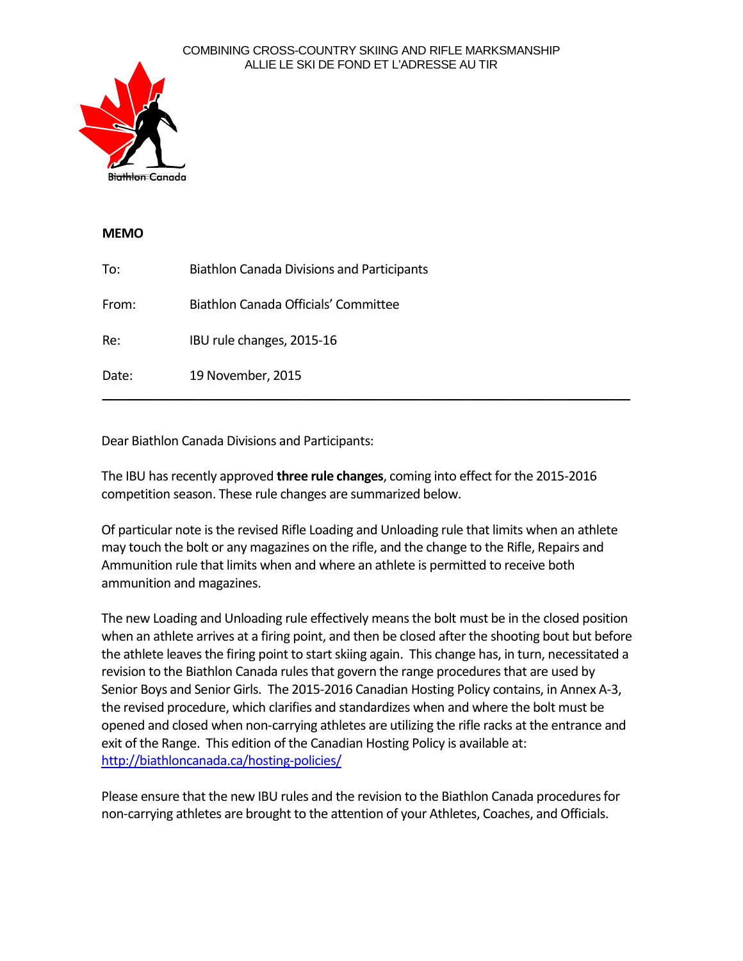#### COMBINING CROSS-COUNTRY SKIING AND RIFLE MARKSMANSHIP ALLIE LE SKI DE FOND ET L'ADRESSE AU TIR



## **MEMO**

| To:   | <b>Biathlon Canada Divisions and Participants</b> |
|-------|---------------------------------------------------|
| From: | Biathlon Canada Officials' Committee              |
| Re:   | IBU rule changes, 2015-16                         |
| Date: | 19 November, 2015                                 |

Dear Biathlon Canada Divisions and Participants:

The IBU has recently approved **three rule changes**, coming into effect for the 2015-2016 competition season. These rule changes are summarized below.

Of particular note is the revised Rifle Loading and Unloading rule that limits when an athlete may touch the bolt or any magazines on the rifle, and the change to the Rifle, Repairs and Ammunition rule that limits when and where an athlete is permitted to receive both ammunition and magazines.

The new Loading and Unloading rule effectively means the bolt must be in the closed position when an athlete arrives at a firing point, and then be closed after the shooting bout but before the athlete leaves the firing point to start skiing again. This change has, in turn, necessitated a revision to the Biathlon Canada rules that govern the range procedures that are used by Senior Boys and Senior Girls. The 2015-2016 Canadian Hosting Policy contains, in Annex A-3, the revised procedure, which clarifies and standardizes when and where the bolt must be opened and closed when non-carrying athletes are utilizing the rifle racks at the entrance and exit of the Range. This edition of the Canadian Hosting Policy is available at: <http://biathloncanada.ca/hosting-policies/>

Please ensure that the new IBU rules and the revision to the Biathlon Canada procedures for non-carrying athletes are brought to the attention of your Athletes, Coaches, and Officials.